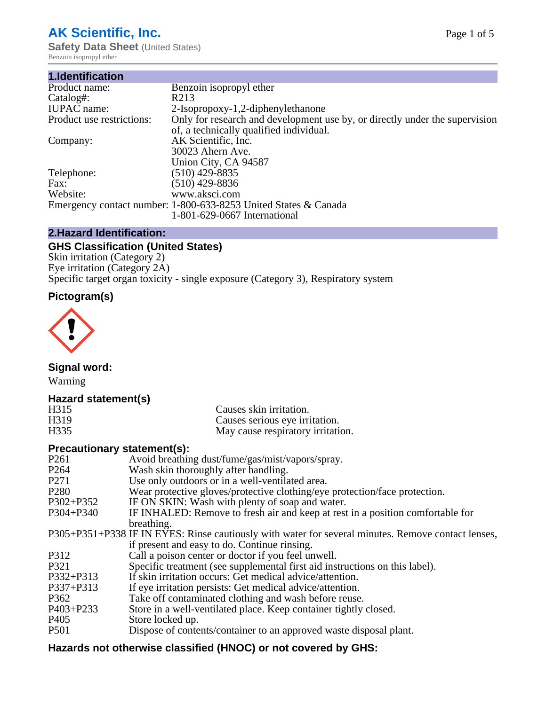# **AK Scientific, Inc.**

**Safety Data Sheet (United States)** Benzoin isopropyl ether

| 1.Identification          |                                                                             |
|---------------------------|-----------------------------------------------------------------------------|
| Product name:             | Benzoin isopropyl ether                                                     |
| Catalog#:                 | R <sub>2</sub> 13                                                           |
| <b>IUPAC</b> name:        | 2-Isopropoxy-1,2-diphenylethanone                                           |
| Product use restrictions: | Only for research and development use by, or directly under the supervision |
|                           | of, a technically qualified individual.                                     |
| Company:                  | AK Scientific, Inc.                                                         |
|                           | 30023 Ahern Ave.                                                            |
|                           | Union City, CA 94587                                                        |
| Telephone:                | $(510)$ 429-8835                                                            |
| Fax:                      | $(510)$ 429-8836                                                            |
| Website:                  | www.aksci.com                                                               |
|                           | Emergency contact number: 1-800-633-8253 United States & Canada             |
|                           | 1-801-629-0667 International                                                |

# **2.Hazard Identification:**

# **GHS Classification (United States)**

Skin irritation (Category 2) Eye irritation (Category 2A) Specific target organ toxicity - single exposure (Category 3), Respiratory system

# **Pictogram(s)**



**Signal word:**

Warning

# **Hazard statement(s)**

| H315              | Causes skin irritation.           |
|-------------------|-----------------------------------|
| H <sub>3</sub> 19 | Causes serious eye irritation.    |
| H335              | May cause respiratory irritation. |

# **Precautionary statement(s):**

| P <sub>261</sub> | Avoid breathing dust/fume/gas/mist/vapors/spray.                                                   |
|------------------|----------------------------------------------------------------------------------------------------|
| P <sub>264</sub> | Wash skin thoroughly after handling.                                                               |
| P <sub>271</sub> | Use only outdoors or in a well-ventilated area.                                                    |
| P <sub>280</sub> | Wear protective gloves/protective clothing/eye protection/face protection.                         |
| P302+P352        | IF ON SKIN: Wash with plenty of soap and water.                                                    |
| $P304 + P340$    | IF INHALED: Remove to fresh air and keep at rest in a position comfortable for                     |
|                  | breathing.                                                                                         |
|                  | P305+P351+P338 IF IN EYES: Rinse cautiously with water for several minutes. Remove contact lenses, |
|                  | if present and easy to do. Continue rinsing.                                                       |
| P312             | Call a poison center or doctor if you feel unwell.                                                 |
| P321             | Specific treatment (see supplemental first aid instructions on this label).                        |
| P332+P313        | If skin irritation occurs: Get medical advice/attention.                                           |
| P337+P313        | If eye irritation persists: Get medical advice/attention.                                          |
| P362             | Take off contaminated clothing and wash before reuse.                                              |
| $P403 + P233$    | Store in a well-ventilated place. Keep container tightly closed.                                   |
| P <sub>405</sub> | Store locked up.                                                                                   |
| P <sub>501</sub> | Dispose of contents/container to an approved waste disposal plant.                                 |
|                  |                                                                                                    |

# **Hazards not otherwise classified (HNOC) or not covered by GHS:**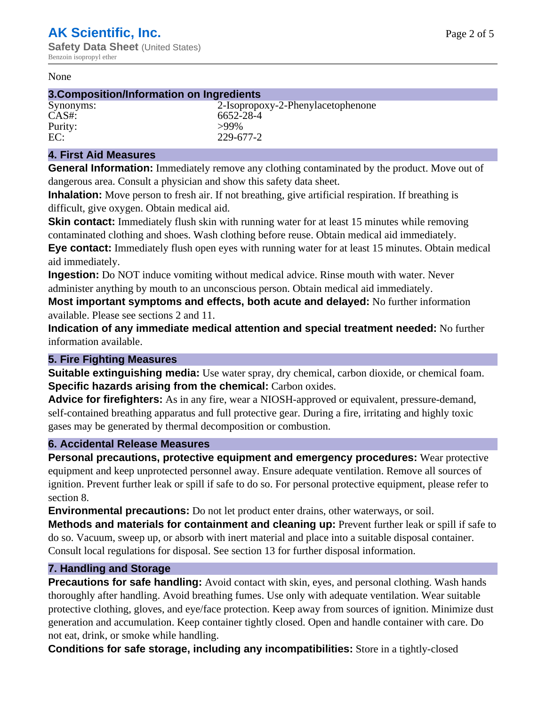#### None

#### **3.Composition/Information on Ingredients**

Purity: >99%<br>EC: 229-6

Synonyms: 2-Isopropoxy-2-Phenylacetophenone CAS#: 6652-28-4 EC: 229-677-2

## **4. First Aid Measures**

**General Information:** Immediately remove any clothing contaminated by the product. Move out of dangerous area. Consult a physician and show this safety data sheet.

**Inhalation:** Move person to fresh air. If not breathing, give artificial respiration. If breathing is difficult, give oxygen. Obtain medical aid.

**Skin contact:** Immediately flush skin with running water for at least 15 minutes while removing contaminated clothing and shoes. Wash clothing before reuse. Obtain medical aid immediately. **Eye contact:** Immediately flush open eyes with running water for at least 15 minutes. Obtain medical aid immediately.

**Ingestion:** Do NOT induce vomiting without medical advice. Rinse mouth with water. Never administer anything by mouth to an unconscious person. Obtain medical aid immediately.

**Most important symptoms and effects, both acute and delayed:** No further information available. Please see sections 2 and 11.

**Indication of any immediate medical attention and special treatment needed:** No further information available.

## **5. Fire Fighting Measures**

**Suitable extinguishing media:** Use water spray, dry chemical, carbon dioxide, or chemical foam. **Specific hazards arising from the chemical:** Carbon oxides.

**Advice for firefighters:** As in any fire, wear a NIOSH-approved or equivalent, pressure-demand, self-contained breathing apparatus and full protective gear. During a fire, irritating and highly toxic gases may be generated by thermal decomposition or combustion.

## **6. Accidental Release Measures**

**Personal precautions, protective equipment and emergency procedures:** Wear protective equipment and keep unprotected personnel away. Ensure adequate ventilation. Remove all sources of ignition. Prevent further leak or spill if safe to do so. For personal protective equipment, please refer to section 8.

**Environmental precautions:** Do not let product enter drains, other waterways, or soil.

**Methods and materials for containment and cleaning up:** Prevent further leak or spill if safe to do so. Vacuum, sweep up, or absorb with inert material and place into a suitable disposal container. Consult local regulations for disposal. See section 13 for further disposal information.

## **7. Handling and Storage**

**Precautions for safe handling:** Avoid contact with skin, eyes, and personal clothing. Wash hands thoroughly after handling. Avoid breathing fumes. Use only with adequate ventilation. Wear suitable protective clothing, gloves, and eye/face protection. Keep away from sources of ignition. Minimize dust generation and accumulation. Keep container tightly closed. Open and handle container with care. Do not eat, drink, or smoke while handling.

**Conditions for safe storage, including any incompatibilities:** Store in a tightly-closed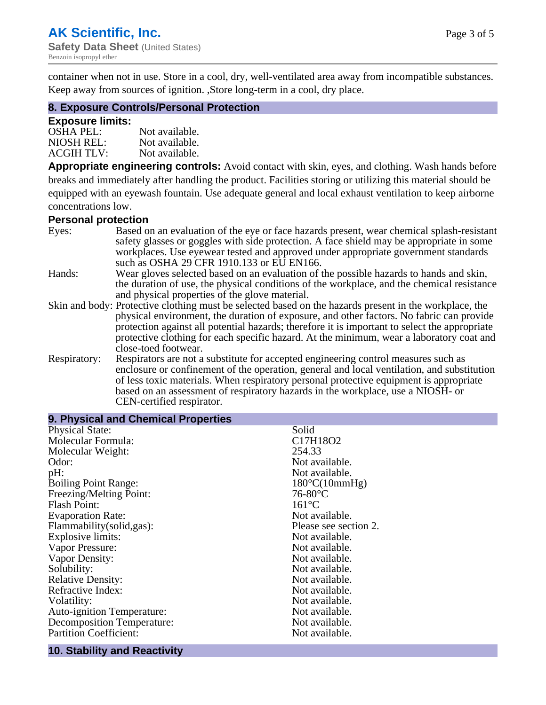container when not in use. Store in a cool, dry, well-ventilated area away from incompatible substances. Keep away from sources of ignition. ,Store long-term in a cool, dry place.

## **8. Exposure Controls/Personal Protection**

#### **Exposure limits:**

| <b>OSHA PEL:</b>  | Not available. |
|-------------------|----------------|
| NIOSH REL:        | Not available. |
| <b>ACGIH TLV:</b> | Not available. |

**Appropriate engineering controls:** Avoid contact with skin, eyes, and clothing. Wash hands before breaks and immediately after handling the product. Facilities storing or utilizing this material should be equipped with an eyewash fountain. Use adequate general and local exhaust ventilation to keep airborne concentrations low.

#### **Personal protection**

| Eyes:        | Based on an evaluation of the eye or face hazards present, wear chemical splash-resistant<br>safety glasses or goggles with side protection. A face shield may be appropriate in some |
|--------------|---------------------------------------------------------------------------------------------------------------------------------------------------------------------------------------|
|              | workplaces. Use eyewear tested and approved under appropriate government standards<br>such as OSHA 29 CFR 1910.133 or EU EN166.                                                       |
| Hands:       | Wear gloves selected based on an evaluation of the possible hazards to hands and skin,                                                                                                |
|              | the duration of use, the physical conditions of the workplace, and the chemical resistance                                                                                            |
|              | and physical properties of the glove material.                                                                                                                                        |
|              | Skin and body: Protective clothing must be selected based on the hazards present in the workplace, the                                                                                |
|              | physical environment, the duration of exposure, and other factors. No fabric can provide                                                                                              |
|              | protection against all potential hazards; therefore it is important to select the appropriate                                                                                         |
|              | protective clothing for each specific hazard. At the minimum, wear a laboratory coat and                                                                                              |
|              | close-toed footwear.                                                                                                                                                                  |
| Respiratory: | Respirators are not a substitute for accepted engineering control measures such as<br>enclosure or confinement of the operation, general and local ventilation, and substitution      |
|              | of less toxic materials. When respiratory personal protective equipment is appropriate                                                                                                |
|              | based on an assessment of respiratory hazards in the workplace, use a NIOSH- or                                                                                                       |
|              | CEN-certified respirator.                                                                                                                                                             |

| 9. Physical and Chemical Properties |                        |
|-------------------------------------|------------------------|
| <b>Physical State:</b>              | Solid                  |
| Molecular Formula:                  | C17H18O2               |
| Molecular Weight:                   | 254.33                 |
| Odor:                               | Not available.         |
| pH:                                 | Not available.         |
| <b>Boiling Point Range:</b>         | $180^{\circ}C(10mmHg)$ |
| Freezing/Melting Point:             | $76-80$ °C             |
| <b>Flash Point:</b>                 | $161^{\circ}C$         |
| <b>Evaporation Rate:</b>            | Not available.         |
| Flammability(solid,gas):            | Please see section 2.  |
| <b>Explosive limits:</b>            | Not available.         |
| Vapor Pressure:                     | Not available.         |
| Vapor Density:                      | Not available.         |
| Solubility:                         | Not available.         |
| <b>Relative Density:</b>            | Not available.         |
| Refractive Index:                   | Not available.         |
| Volatility:                         | Not available.         |
| <b>Auto-ignition Temperature:</b>   | Not available.         |
| <b>Decomposition Temperature:</b>   | Not available.         |
| <b>Partition Coefficient:</b>       | Not available.         |

#### **10. Stability and Reactivity**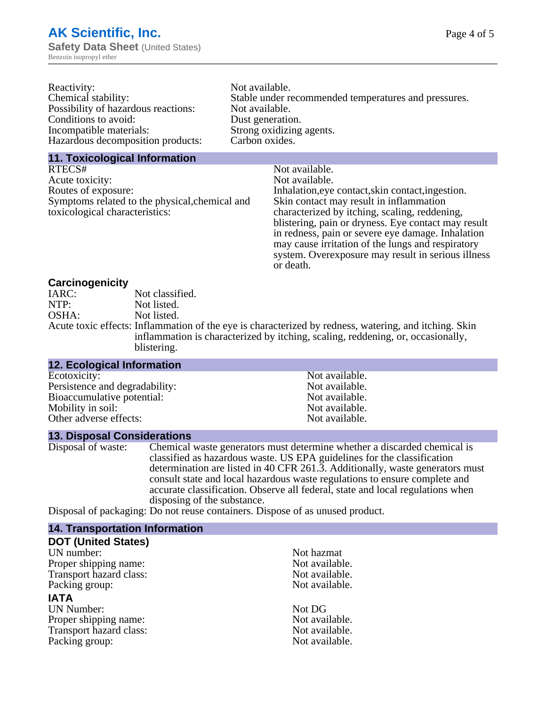| Reactivity:                         | Not available.                                       |
|-------------------------------------|------------------------------------------------------|
| Chemical stability:                 | Stable under recommended temperatures and pressures. |
| Possibility of hazardous reactions: | Not available.                                       |
| Conditions to avoid:                | Dust generation.                                     |
| Incompatible materials:             | Strong oxidizing agents.                             |
| Hazardous decomposition products:   | Carbon oxides.                                       |
|                                     |                                                      |

#### **11. Toxicological Information**

| Not available.                                      |
|-----------------------------------------------------|
| Not available.                                      |
| Inhalation, eye contact, skin contact, ingestion.   |
| Skin contact may result in inflammation             |
| characterized by itching, scaling, reddening,       |
| blistering, pain or dryness. Eye contact may result |
| in redness, pain or severe eye damage. Inhalation   |
| may cause irritation of the lungs and respiratory   |
| system. Overexposure may result in serious illness  |
|                                                     |

or death.

#### **Carcinogenicity**

| IARC: | Not classified.                                                                                       |
|-------|-------------------------------------------------------------------------------------------------------|
| NTP:  | Not listed.                                                                                           |
| OSHA: | Not listed.                                                                                           |
|       | Acute toxic effects: Inflammation of the eye is characterized by redness, watering, and itching. Skin |
|       | inflammation is characterized by itching, scaling, reddening, or, occasionally,                       |
|       | blistering.                                                                                           |

| <b>12. Ecological Information</b> |                |
|-----------------------------------|----------------|
| Ecotoxicity:                      | Not available. |
| Persistence and degradability:    | Not available. |
| Bioaccumulative potential:        | Not available. |
| Mobility in soil:                 | Not available. |
| Other adverse effects:            | Not available. |

## **13. Disposal Considerations**

Disposal of waste: Chemical waste generators must determine whether a discarded chemical is classified as hazardous waste. US EPA guidelines for the classification determination are listed in 40 CFR 261.3. Additionally, waste generators must consult state and local hazardous waste regulations to ensure complete and accurate classification. Observe all federal, state and local regulations when disposing of the substance.

Disposal of packaging: Do not reuse containers. Dispose of as unused product.

| <b>14. Transportation Information</b> |                |
|---------------------------------------|----------------|
| <b>DOT (United States)</b>            |                |
| UN number:                            | Not hazmat     |
| Proper shipping name:                 | Not available. |
| Transport hazard class:               | Not available. |
| Packing group:                        | Not available. |
| <b>IATA</b>                           |                |
| <b>UN Number:</b>                     | Not DG         |
| Proper shipping name:                 | Not available. |
| Transport hazard class:               | Not available. |
| Packing group:                        | Not available. |